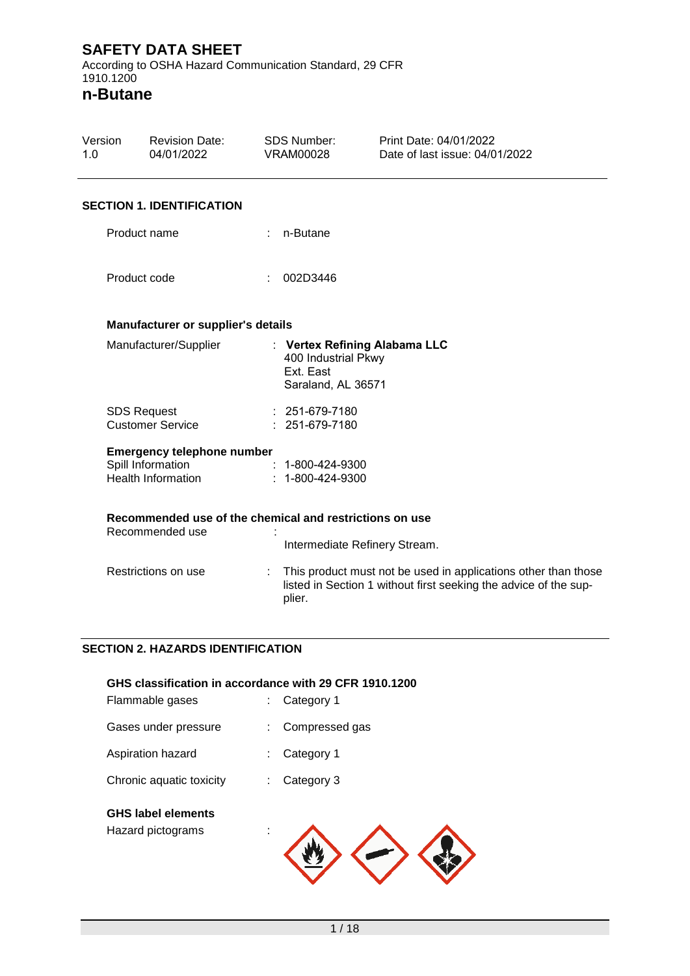According to OSHA Hazard Communication Standard, 29 CFR 1910.1200

**n-Butane**

| Version<br>1.0 |              | <b>Revision Date:</b><br>04/01/2022                     |   | <b>SDS Number:</b><br><b>VRAM00028</b>                 | Print Date: 04/01/2022<br>Date of last issue: 04/01/2022                                                                           |  |
|----------------|--------------|---------------------------------------------------------|---|--------------------------------------------------------|------------------------------------------------------------------------------------------------------------------------------------|--|
|                |              | <b>SECTION 1. IDENTIFICATION</b>                        |   |                                                        |                                                                                                                                    |  |
|                |              | Product name                                            |   | $: n$ -Butane                                          |                                                                                                                                    |  |
|                | Product code |                                                         | ÷ | 002D3446                                               |                                                                                                                                    |  |
|                |              | Manufacturer or supplier's details                      |   |                                                        |                                                                                                                                    |  |
|                |              | Manufacturer/Supplier                                   |   | 400 Industrial Pkwy<br>Ext. East<br>Saraland, AL 36571 | : Vertex Refining Alabama LLC                                                                                                      |  |
|                |              | <b>SDS Request</b><br><b>Customer Service</b>           |   | $: 251-679-7180$<br>: 251-679-7180                     |                                                                                                                                    |  |
|                |              | <b>Emergency telephone number</b>                       |   |                                                        |                                                                                                                                    |  |
|                |              | Spill Information                                       |   | $: 1 - 800 - 424 - 9300$                               |                                                                                                                                    |  |
|                |              | <b>Health Information</b>                               |   | $: 1 - 800 - 424 - 9300$                               |                                                                                                                                    |  |
|                |              | Recommended use of the chemical and restrictions on use |   |                                                        |                                                                                                                                    |  |
|                |              | Recommended use                                         |   |                                                        | Intermediate Refinery Stream.                                                                                                      |  |
|                |              | Restrictions on use                                     | ÷ | plier.                                                 | This product must not be used in applications other than those<br>listed in Section 1 without first seeking the advice of the sup- |  |

#### **SECTION 2. HAZARDS IDENTIFICATION**

|                                                | GHS classification in accordance with 29 CFR 1910.1200 |
|------------------------------------------------|--------------------------------------------------------|
| Flammable gases                                | Category 1<br>t.                                       |
| Gases under pressure                           | Compressed gas                                         |
| Aspiration hazard                              | Category 1                                             |
| Chronic aquatic toxicity                       | Category 3                                             |
| <b>GHS label elements</b><br>Hazard pictograms |                                                        |

Hazard pictograms :

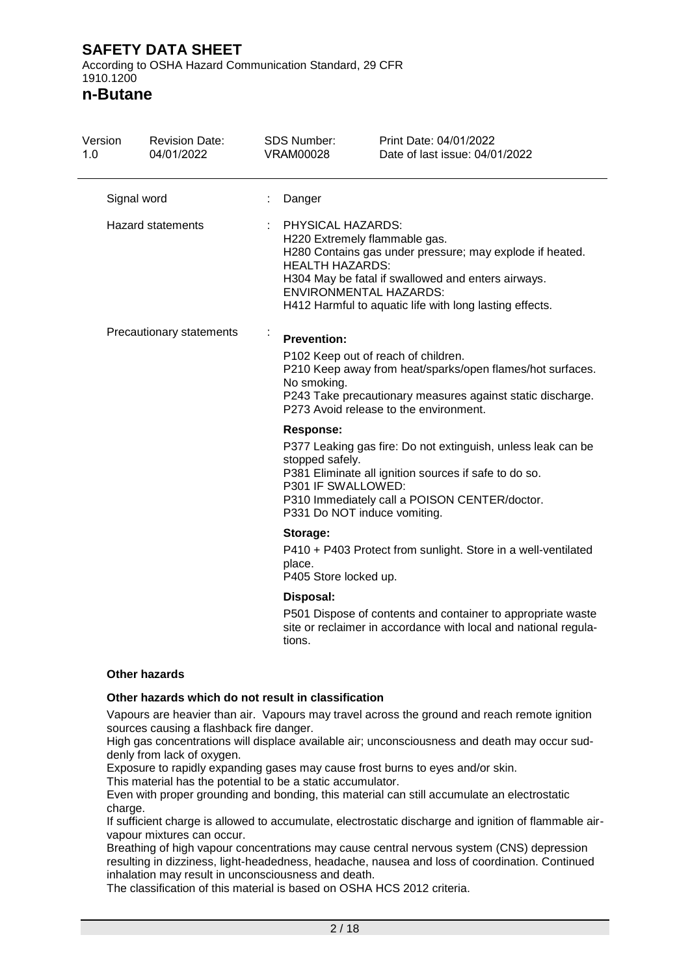According to OSHA Hazard Communication Standard, 29 CFR 1910.1200

**n-Butane**

| Version<br>1.0           |             | <b>Revision Date:</b><br>04/01/2022                                                                                                                                                                                                                                                        | <b>SDS Number:</b><br><b>VRAM00028</b>                                                                                                                                                                   | Print Date: 04/01/2022<br>Date of last issue: 04/01/2022                                                                                                                                               |
|--------------------------|-------------|--------------------------------------------------------------------------------------------------------------------------------------------------------------------------------------------------------------------------------------------------------------------------------------------|----------------------------------------------------------------------------------------------------------------------------------------------------------------------------------------------------------|--------------------------------------------------------------------------------------------------------------------------------------------------------------------------------------------------------|
|                          | Signal word |                                                                                                                                                                                                                                                                                            | Danger                                                                                                                                                                                                   |                                                                                                                                                                                                        |
| <b>Hazard statements</b> |             | PHYSICAL HAZARDS:<br>H220 Extremely flammable gas.<br>H280 Contains gas under pressure; may explode if heated.<br><b>HEALTH HAZARDS:</b><br>H304 May be fatal if swallowed and enters airways.<br><b>ENVIRONMENTAL HAZARDS:</b><br>H412 Harmful to aquatic life with long lasting effects. |                                                                                                                                                                                                          |                                                                                                                                                                                                        |
| Precautionary statements |             | <b>Prevention:</b><br>No smoking.                                                                                                                                                                                                                                                          | P102 Keep out of reach of children.<br>P210 Keep away from heat/sparks/open flames/hot surfaces.<br>P243 Take precautionary measures against static discharge.<br>P273 Avoid release to the environment. |                                                                                                                                                                                                        |
|                          |             |                                                                                                                                                                                                                                                                                            | <b>Response:</b><br>stopped safely.<br>P301 IF SWALLOWED:                                                                                                                                                | P377 Leaking gas fire: Do not extinguish, unless leak can be<br>P381 Eliminate all ignition sources if safe to do so.<br>P310 Immediately call a POISON CENTER/doctor.<br>P331 Do NOT induce vomiting. |
|                          |             |                                                                                                                                                                                                                                                                                            | Storage:<br>place.<br>P405 Store locked up.                                                                                                                                                              | P410 + P403 Protect from sunlight. Store in a well-ventilated                                                                                                                                          |
|                          |             |                                                                                                                                                                                                                                                                                            | Disposal:<br>tions.                                                                                                                                                                                      | P501 Dispose of contents and container to appropriate waste<br>site or reclaimer in accordance with local and national regula-                                                                         |

#### **Other hazards**

#### **Other hazards which do not result in classification**

Vapours are heavier than air. Vapours may travel across the ground and reach remote ignition sources causing a flashback fire danger.

High gas concentrations will displace available air; unconsciousness and death may occur suddenly from lack of oxygen.

Exposure to rapidly expanding gases may cause frost burns to eyes and/or skin.

This material has the potential to be a static accumulator.

Even with proper grounding and bonding, this material can still accumulate an electrostatic charge.

If sufficient charge is allowed to accumulate, electrostatic discharge and ignition of flammable airvapour mixtures can occur.

Breathing of high vapour concentrations may cause central nervous system (CNS) depression resulting in dizziness, light-headedness, headache, nausea and loss of coordination. Continued inhalation may result in unconsciousness and death.

The classification of this material is based on OSHA HCS 2012 criteria.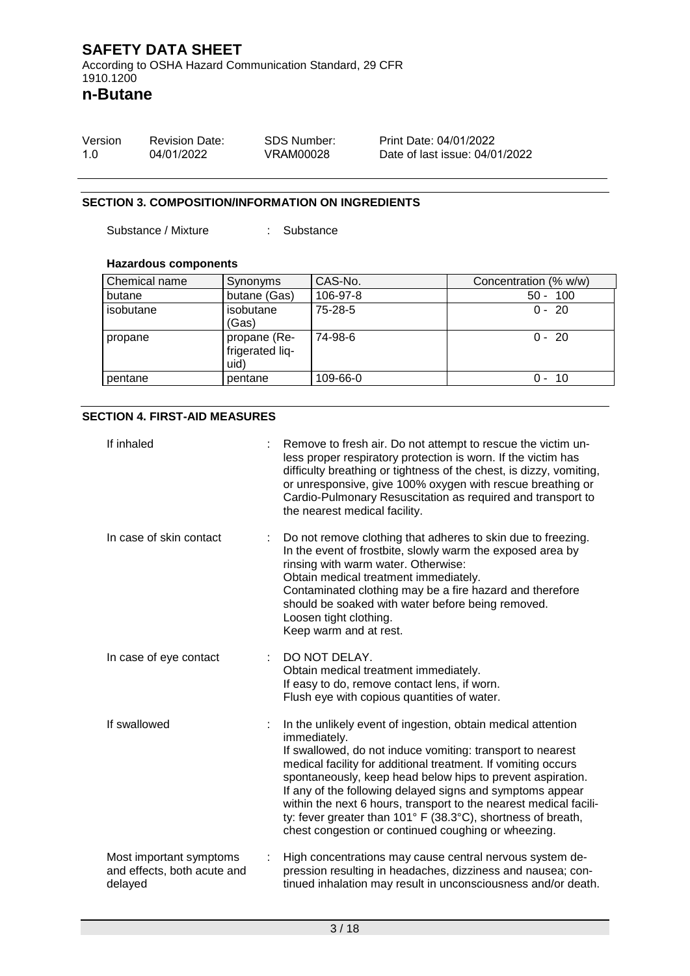According to OSHA Hazard Communication Standard, 29 CFR 1910.1200

**n-Butane**

| Version | <b>Revision Date:</b> | SDS Number: | Print Date: 04/01/2022         |
|---------|-----------------------|-------------|--------------------------------|
| 1.0     | 04/01/2022            | VRAM00028   | Date of last issue: 04/01/2022 |

#### **SECTION 3. COMPOSITION/INFORMATION ON INGREDIENTS**

Substance / Mixture : Substance

#### **Hazardous components**

| Chemical name | Synonyms                                | CAS-No.   | Concentration (% w/w) |
|---------------|-----------------------------------------|-----------|-----------------------|
| butane        | butane (Gas)                            | 106-97-8  | $50 - 100$            |
| isobutane     | isobutane<br>(Gas)                      | $75-28-5$ | $0 - 20$              |
| propane       | propane (Re-<br>frigerated lig-<br>uid) | 74-98-6   | $0 - 20$              |
| pentane       | pentane                                 | 109-66-0  | 0 -<br>10             |

#### **SECTION 4. FIRST-AID MEASURES**

| If inhaled                                                        | Remove to fresh air. Do not attempt to rescue the victim un-<br>less proper respiratory protection is worn. If the victim has<br>difficulty breathing or tightness of the chest, is dizzy, vomiting,<br>or unresponsive, give 100% oxygen with rescue breathing or<br>Cardio-Pulmonary Resuscitation as required and transport to<br>the nearest medical facility.                                                                                                                                                                 |
|-------------------------------------------------------------------|------------------------------------------------------------------------------------------------------------------------------------------------------------------------------------------------------------------------------------------------------------------------------------------------------------------------------------------------------------------------------------------------------------------------------------------------------------------------------------------------------------------------------------|
| In case of skin contact                                           | Do not remove clothing that adheres to skin due to freezing.<br>In the event of frostbite, slowly warm the exposed area by<br>rinsing with warm water. Otherwise:<br>Obtain medical treatment immediately.<br>Contaminated clothing may be a fire hazard and therefore<br>should be soaked with water before being removed.<br>Loosen tight clothing.<br>Keep warm and at rest.                                                                                                                                                    |
| In case of eye contact                                            | DO NOT DELAY.<br>Obtain medical treatment immediately.<br>If easy to do, remove contact lens, if worn.<br>Flush eye with copious quantities of water.                                                                                                                                                                                                                                                                                                                                                                              |
| If swallowed                                                      | In the unlikely event of ingestion, obtain medical attention<br>immediately.<br>If swallowed, do not induce vomiting: transport to nearest<br>medical facility for additional treatment. If vomiting occurs<br>spontaneously, keep head below hips to prevent aspiration.<br>If any of the following delayed signs and symptoms appear<br>within the next 6 hours, transport to the nearest medical facili-<br>ty: fever greater than 101° F (38.3°C), shortness of breath,<br>chest congestion or continued coughing or wheezing. |
| Most important symptoms<br>and effects, both acute and<br>delayed | High concentrations may cause central nervous system de-<br>pression resulting in headaches, dizziness and nausea; con-<br>tinued inhalation may result in unconsciousness and/or death.                                                                                                                                                                                                                                                                                                                                           |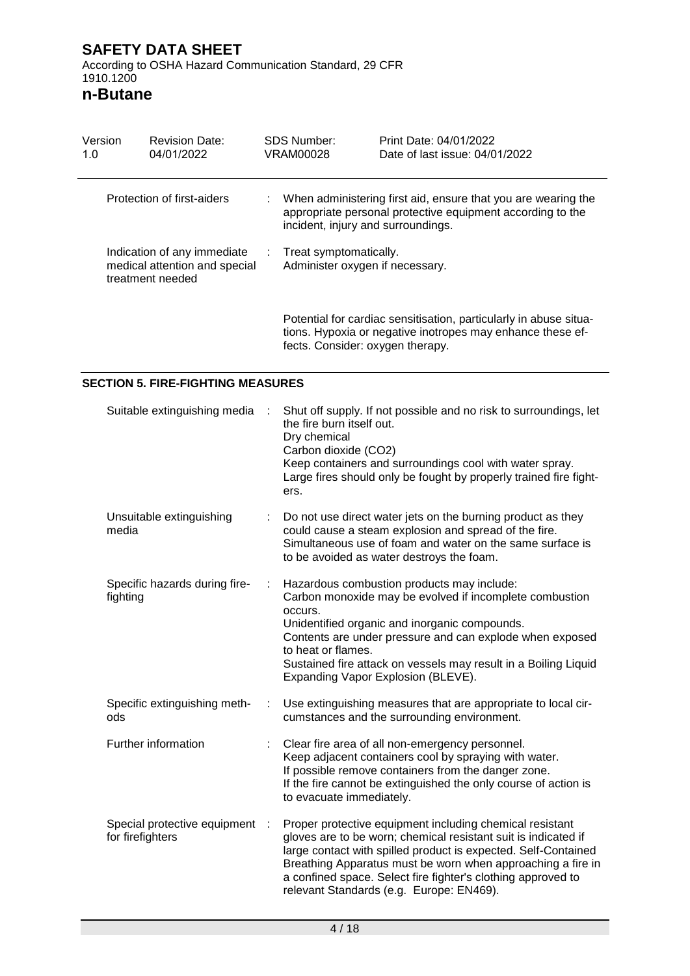**n-Butane**

| Version<br>1.0                                                                   | <b>Revision Date:</b><br>04/01/2022      |   | <b>SDS Number:</b><br>VRAM00028                           | Print Date: 04/01/2022<br>Date of last issue: 04/01/2022                                                                        |
|----------------------------------------------------------------------------------|------------------------------------------|---|-----------------------------------------------------------|---------------------------------------------------------------------------------------------------------------------------------|
|                                                                                  | Protection of first-aiders               |   | incident, injury and surroundings.                        | When administering first aid, ensure that you are wearing the<br>appropriate personal protective equipment according to the     |
| Indication of any immediate<br>medical attention and special<br>treatment needed |                                          | ÷ | Treat symptomatically.<br>Administer oxygen if necessary. |                                                                                                                                 |
|                                                                                  |                                          |   | fects. Consider: oxygen therapy.                          | Potential for cardiac sensitisation, particularly in abuse situa-<br>tions. Hypoxia or negative inotropes may enhance these ef- |
|                                                                                  | <b>SECTION 5. FIRE-FIGHTING MEASURES</b> |   |                                                           |                                                                                                                                 |
| Suitable extinguishing media :                                                   |                                          |   |                                                           | Shut off supply. If not possible and no risk to surroundings, let                                                               |

| Suitable extinguishing media                     |      | Stiut on Supply. If not possible and no lisk to surroundings, let<br>the fire burn itself out.<br>Dry chemical<br>Carbon dioxide (CO2)<br>Keep containers and surroundings cool with water spray.<br>Large fires should only be fought by properly trained fire fight-<br>ers.                                                                                          |
|--------------------------------------------------|------|-------------------------------------------------------------------------------------------------------------------------------------------------------------------------------------------------------------------------------------------------------------------------------------------------------------------------------------------------------------------------|
| Unsuitable extinguishing<br>media                |      | Do not use direct water jets on the burning product as they<br>could cause a steam explosion and spread of the fire.<br>Simultaneous use of foam and water on the same surface is<br>to be avoided as water destroys the foam.                                                                                                                                          |
| Specific hazards during fire-<br>fighting        | ÷    | Hazardous combustion products may include:<br>Carbon monoxide may be evolved if incomplete combustion<br>occurs.<br>Unidentified organic and inorganic compounds.<br>Contents are under pressure and can explode when exposed<br>to heat or flames.<br>Sustained fire attack on vessels may result in a Boiling Liquid<br>Expanding Vapor Explosion (BLEVE).            |
| Specific extinguishing meth-<br>ods              | ÷    | Use extinguishing measures that are appropriate to local cir-<br>cumstances and the surrounding environment.                                                                                                                                                                                                                                                            |
| Further information                              |      | Clear fire area of all non-emergency personnel.<br>Keep adjacent containers cool by spraying with water.<br>If possible remove containers from the danger zone.<br>If the fire cannot be extinguished the only course of action is<br>to evacuate immediately.                                                                                                          |
| Special protective equipment<br>for firefighters | - 11 | Proper protective equipment including chemical resistant<br>gloves are to be worn; chemical resistant suit is indicated if<br>large contact with spilled product is expected. Self-Contained<br>Breathing Apparatus must be worn when approaching a fire in<br>a confined space. Select fire fighter's clothing approved to<br>relevant Standards (e.g. Europe: EN469). |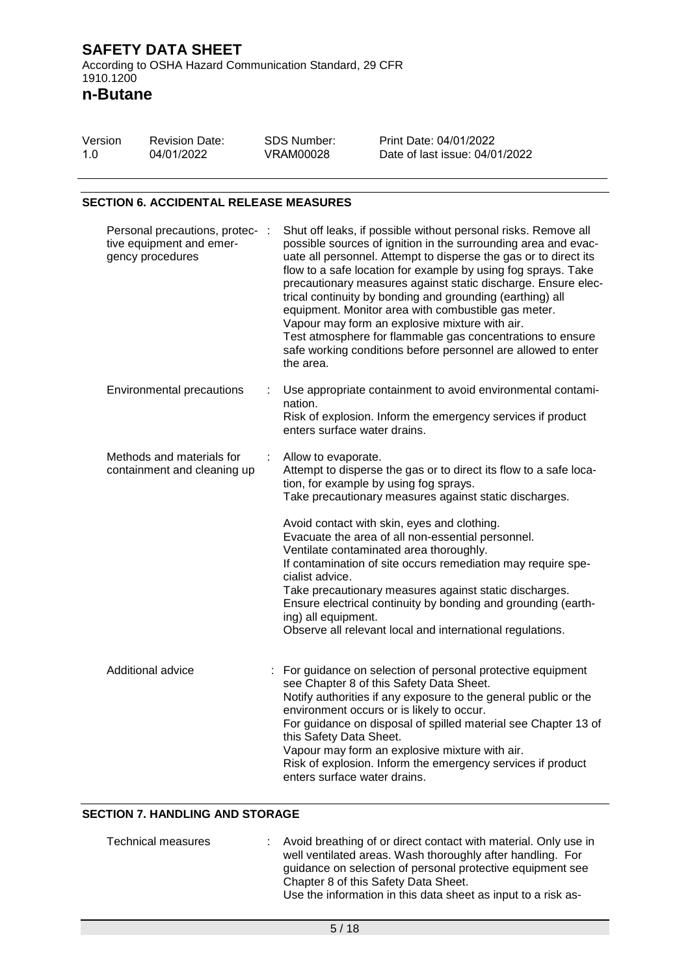**n-Butane**

| Version | <b>Revision Date:</b> | SDS Number: | Print Date: 04/01/2022         |
|---------|-----------------------|-------------|--------------------------------|
| 1.0     | 04/01/2022            | VRAM00028   | Date of last issue: 04/01/2022 |

#### **SECTION 6. ACCIDENTAL RELEASE MEASURES**

| Personal precautions, protec- :<br>tive equipment and emer-<br>gency procedures |   | Shut off leaks, if possible without personal risks. Remove all<br>possible sources of ignition in the surrounding area and evac-<br>uate all personnel. Attempt to disperse the gas or to direct its<br>flow to a safe location for example by using fog sprays. Take<br>precautionary measures against static discharge. Ensure elec-<br>trical continuity by bonding and grounding (earthing) all<br>equipment. Monitor area with combustible gas meter.<br>Vapour may form an explosive mixture with air.<br>Test atmosphere for flammable gas concentrations to ensure<br>safe working conditions before personnel are allowed to enter<br>the area. |
|---------------------------------------------------------------------------------|---|----------------------------------------------------------------------------------------------------------------------------------------------------------------------------------------------------------------------------------------------------------------------------------------------------------------------------------------------------------------------------------------------------------------------------------------------------------------------------------------------------------------------------------------------------------------------------------------------------------------------------------------------------------|
| <b>Environmental precautions</b>                                                |   | Use appropriate containment to avoid environmental contami-<br>nation.<br>Risk of explosion. Inform the emergency services if product<br>enters surface water drains.                                                                                                                                                                                                                                                                                                                                                                                                                                                                                    |
| Methods and materials for<br>containment and cleaning up                        | ÷ | Allow to evaporate.<br>Attempt to disperse the gas or to direct its flow to a safe loca-<br>tion, for example by using fog sprays.<br>Take precautionary measures against static discharges.                                                                                                                                                                                                                                                                                                                                                                                                                                                             |
|                                                                                 |   | Avoid contact with skin, eyes and clothing.<br>Evacuate the area of all non-essential personnel.<br>Ventilate contaminated area thoroughly.<br>If contamination of site occurs remediation may require spe-<br>cialist advice.<br>Take precautionary measures against static discharges.<br>Ensure electrical continuity by bonding and grounding (earth-<br>ing) all equipment.<br>Observe all relevant local and international regulations.                                                                                                                                                                                                            |
| Additional advice                                                               |   | For guidance on selection of personal protective equipment<br>see Chapter 8 of this Safety Data Sheet.<br>Notify authorities if any exposure to the general public or the<br>environment occurs or is likely to occur.<br>For guidance on disposal of spilled material see Chapter 13 of<br>this Safety Data Sheet.<br>Vapour may form an explosive mixture with air.<br>Risk of explosion. Inform the emergency services if product<br>enters surface water drains.                                                                                                                                                                                     |

#### **SECTION 7. HANDLING AND STORAGE**

| Technical measures | : Avoid breathing of or direct contact with material. Only use in |
|--------------------|-------------------------------------------------------------------|
|                    | well ventilated areas. Wash thoroughly after handling. For        |
|                    | guidance on selection of personal protective equipment see        |
|                    | Chapter 8 of this Safety Data Sheet.                              |
|                    | Use the information in this data sheet as input to a risk as-     |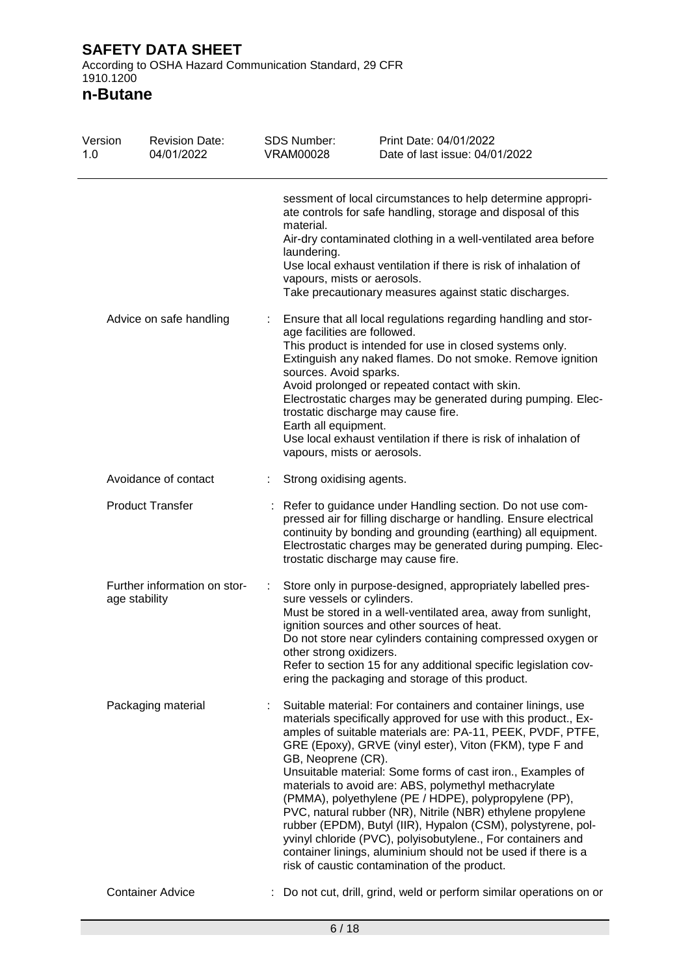According to OSHA Hazard Communication Standard, 29 CFR 1910.1200

**n-Butane**

| Version<br>1.0 | <b>Revision Date:</b><br>04/01/2022           | <b>SDS Number:</b><br><b>VRAM00028</b> | Print Date: 04/01/2022<br>Date of last issue: 04/01/2022                                                                                                                                                                                                                                                                                                                                                                                                                                                                                                                                                                                                                                                                                                |
|----------------|-----------------------------------------------|----------------------------------------|---------------------------------------------------------------------------------------------------------------------------------------------------------------------------------------------------------------------------------------------------------------------------------------------------------------------------------------------------------------------------------------------------------------------------------------------------------------------------------------------------------------------------------------------------------------------------------------------------------------------------------------------------------------------------------------------------------------------------------------------------------|
|                |                                               | material.<br>laundering.               | sessment of local circumstances to help determine appropri-<br>ate controls for safe handling, storage and disposal of this<br>Air-dry contaminated clothing in a well-ventilated area before<br>Use local exhaust ventilation if there is risk of inhalation of<br>vapours, mists or aerosols.<br>Take precautionary measures against static discharges.                                                                                                                                                                                                                                                                                                                                                                                               |
|                | Advice on safe handling                       | Earth all equipment.                   | Ensure that all local regulations regarding handling and stor-<br>age facilities are followed.<br>This product is intended for use in closed systems only.<br>Extinguish any naked flames. Do not smoke. Remove ignition<br>sources. Avoid sparks.<br>Avoid prolonged or repeated contact with skin.<br>Electrostatic charges may be generated during pumping. Elec-<br>trostatic discharge may cause fire.<br>Use local exhaust ventilation if there is risk of inhalation of<br>vapours, mists or aerosols.                                                                                                                                                                                                                                           |
|                | Avoidance of contact                          |                                        | Strong oxidising agents.                                                                                                                                                                                                                                                                                                                                                                                                                                                                                                                                                                                                                                                                                                                                |
|                | <b>Product Transfer</b>                       |                                        | Refer to guidance under Handling section. Do not use com-<br>pressed air for filling discharge or handling. Ensure electrical<br>continuity by bonding and grounding (earthing) all equipment.<br>Electrostatic charges may be generated during pumping. Elec-<br>trostatic discharge may cause fire.                                                                                                                                                                                                                                                                                                                                                                                                                                                   |
|                | Further information on stor-<br>age stability |                                        | Store only in purpose-designed, appropriately labelled pres-<br>sure vessels or cylinders.<br>Must be stored in a well-ventilated area, away from sunlight,<br>ignition sources and other sources of heat.<br>Do not store near cylinders containing compressed oxygen or<br>other strong oxidizers.<br>Refer to section 15 for any additional specific legislation cov-<br>ering the packaging and storage of this product.                                                                                                                                                                                                                                                                                                                            |
|                | Packaging material                            | GB, Neoprene (CR).                     | Suitable material: For containers and container linings, use<br>materials specifically approved for use with this product., Ex-<br>amples of suitable materials are: PA-11, PEEK, PVDF, PTFE,<br>GRE (Epoxy), GRVE (vinyl ester), Viton (FKM), type F and<br>Unsuitable material: Some forms of cast iron., Examples of<br>materials to avoid are: ABS, polymethyl methacrylate<br>(PMMA), polyethylene (PE / HDPE), polypropylene (PP),<br>PVC, natural rubber (NR), Nitrile (NBR) ethylene propylene<br>rubber (EPDM), Butyl (IIR), Hypalon (CSM), polystyrene, pol-<br>yvinyl chloride (PVC), polyisobutylene., For containers and<br>container linings, aluminium should not be used if there is a<br>risk of caustic contamination of the product. |
|                | <b>Container Advice</b>                       |                                        | Do not cut, drill, grind, weld or perform similar operations on or                                                                                                                                                                                                                                                                                                                                                                                                                                                                                                                                                                                                                                                                                      |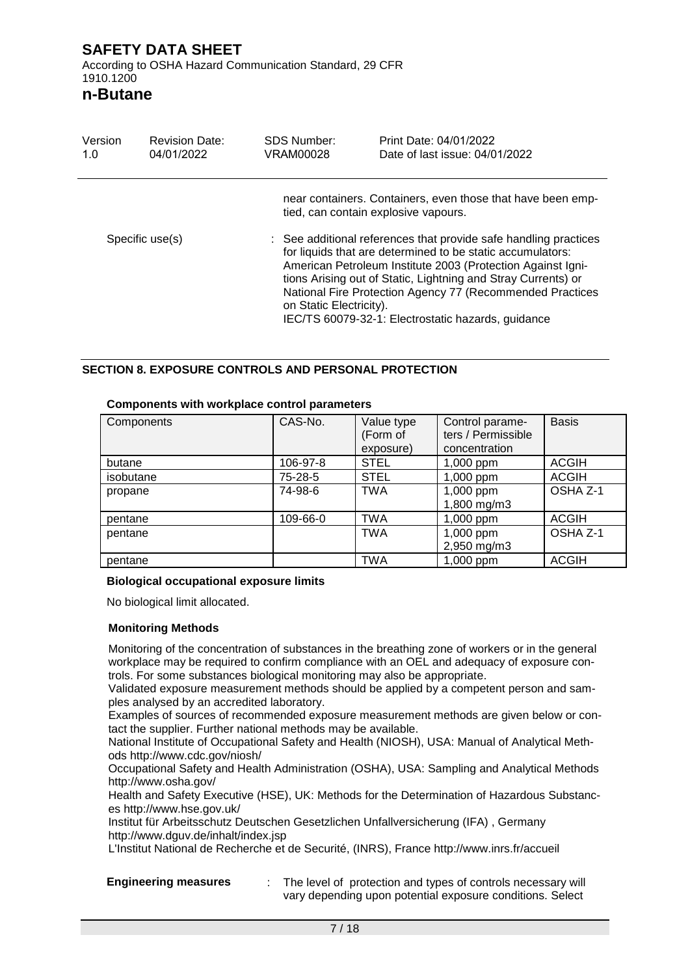**n-Butane**

| Version<br>1.0  | <b>Revision Date:</b><br>04/01/2022 | <b>SDS Number:</b><br>VRAM00028 | Print Date: 04/01/2022<br>Date of last issue: 04/01/2022                                                                                                                                                                                                                                                                                                                          |
|-----------------|-------------------------------------|---------------------------------|-----------------------------------------------------------------------------------------------------------------------------------------------------------------------------------------------------------------------------------------------------------------------------------------------------------------------------------------------------------------------------------|
|                 |                                     |                                 | near containers. Containers, even those that have been emp-<br>tied, can contain explosive vapours.                                                                                                                                                                                                                                                                               |
| Specific use(s) |                                     | on Static Electricity).         | : See additional references that provide safe handling practices<br>for liquids that are determined to be static accumulators:<br>American Petroleum Institute 2003 (Protection Against Igni-<br>tions Arising out of Static, Lightning and Stray Currents) or<br>National Fire Protection Agency 77 (Recommended Practices<br>IEC/TS 60079-32-1: Electrostatic hazards, guidance |

#### **SECTION 8. EXPOSURE CONTROLS AND PERSONAL PROTECTION**

#### **Components with workplace control parameters**

| Components | CAS-No.  | Value type<br>(Form of<br>exposure) | Control parame-<br>ters / Permissible<br>concentration | <b>Basis</b> |
|------------|----------|-------------------------------------|--------------------------------------------------------|--------------|
| butane     | 106-97-8 | <b>STEL</b>                         | 1,000 ppm                                              | <b>ACGIH</b> |
| isobutane  | 75-28-5  | <b>STEL</b>                         | 1,000 ppm                                              | <b>ACGIH</b> |
| propane    | 74-98-6  | <b>TWA</b>                          | 1,000 ppm<br>1,800 mg/m3                               | OSHA Z-1     |
| pentane    | 109-66-0 | <b>TWA</b>                          | 1,000 ppm                                              | <b>ACGIH</b> |
| pentane    |          | <b>TWA</b>                          | 1,000 ppm<br>2,950 mg/m3                               | OSHA Z-1     |
| pentane    |          | <b>TWA</b>                          | 1,000 ppm                                              | <b>ACGIH</b> |

#### **Biological occupational exposure limits**

No biological limit allocated.

#### **Monitoring Methods**

Monitoring of the concentration of substances in the breathing zone of workers or in the general workplace may be required to confirm compliance with an OEL and adequacy of exposure controls. For some substances biological monitoring may also be appropriate.

Validated exposure measurement methods should be applied by a competent person and samples analysed by an accredited laboratory.

Examples of sources of recommended exposure measurement methods are given below or contact the supplier. Further national methods may be available.

National Institute of Occupational Safety and Health (NIOSH), USA: Manual of Analytical Methods http://www.cdc.gov/niosh/

Occupational Safety and Health Administration (OSHA), USA: Sampling and Analytical Methods http://www.osha.gov/

Health and Safety Executive (HSE), UK: Methods for the Determination of Hazardous Substances http://www.hse.gov.uk/

Institut für Arbeitsschutz Deutschen Gesetzlichen Unfallversicherung (IFA) , Germany http://www.dguv.de/inhalt/index.jsp

L'Institut National de Recherche et de Securité, (INRS), France http://www.inrs.fr/accueil

**Engineering measures** : The level of protection and types of controls necessary will vary depending upon potential exposure conditions. Select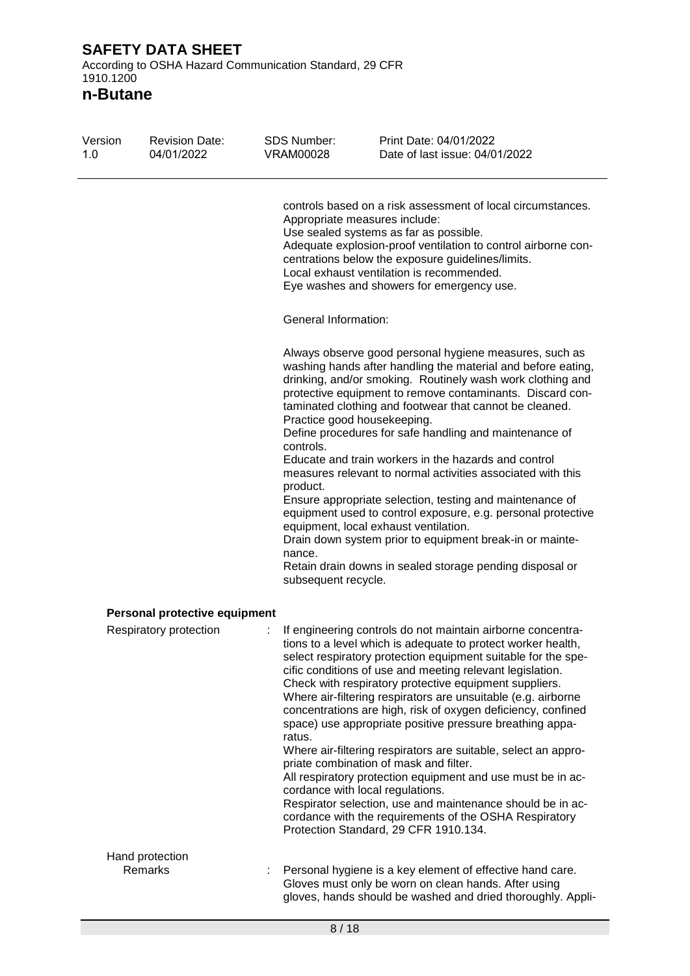According to OSHA Hazard Communication Standard, 29 CFR 1910.1200

**n-Butane**

| Version<br>1.0 | <b>Revision Date:</b><br>04/01/2022 | <b>SDS Number:</b><br><b>VRAM00028</b>                                                | Print Date: 04/01/2022<br>Date of last issue: 04/01/2022                                                                                                                                                                                                                                                                                                                                                                                                                                                                                                                                                                                                                                                                                                                                                                                                                                         |
|----------------|-------------------------------------|---------------------------------------------------------------------------------------|--------------------------------------------------------------------------------------------------------------------------------------------------------------------------------------------------------------------------------------------------------------------------------------------------------------------------------------------------------------------------------------------------------------------------------------------------------------------------------------------------------------------------------------------------------------------------------------------------------------------------------------------------------------------------------------------------------------------------------------------------------------------------------------------------------------------------------------------------------------------------------------------------|
|                |                                     |                                                                                       | controls based on a risk assessment of local circumstances.<br>Appropriate measures include:<br>Use sealed systems as far as possible.<br>Adequate explosion-proof ventilation to control airborne con-<br>centrations below the exposure guidelines/limits.<br>Local exhaust ventilation is recommended.<br>Eye washes and showers for emergency use.                                                                                                                                                                                                                                                                                                                                                                                                                                                                                                                                           |
|                |                                     | General Information:                                                                  |                                                                                                                                                                                                                                                                                                                                                                                                                                                                                                                                                                                                                                                                                                                                                                                                                                                                                                  |
|                |                                     | Practice good housekeeping.<br>controls.<br>product.<br>nance.<br>subsequent recycle. | Always observe good personal hygiene measures, such as<br>washing hands after handling the material and before eating,<br>drinking, and/or smoking. Routinely wash work clothing and<br>protective equipment to remove contaminants. Discard con-<br>taminated clothing and footwear that cannot be cleaned.<br>Define procedures for safe handling and maintenance of<br>Educate and train workers in the hazards and control<br>measures relevant to normal activities associated with this<br>Ensure appropriate selection, testing and maintenance of<br>equipment used to control exposure, e.g. personal protective<br>equipment, local exhaust ventilation.<br>Drain down system prior to equipment break-in or mainte-<br>Retain drain downs in sealed storage pending disposal or                                                                                                       |
|                | Personal protective equipment       |                                                                                       |                                                                                                                                                                                                                                                                                                                                                                                                                                                                                                                                                                                                                                                                                                                                                                                                                                                                                                  |
|                | Respiratory protection              | ratus.                                                                                | If engineering controls do not maintain airborne concentra-<br>tions to a level which is adequate to protect worker health,<br>select respiratory protection equipment suitable for the spe-<br>cific conditions of use and meeting relevant legislation.<br>Check with respiratory protective equipment suppliers.<br>Where air-filtering respirators are unsuitable (e.g. airborne<br>concentrations are high, risk of oxygen deficiency, confined<br>space) use appropriate positive pressure breathing appa-<br>Where air-filtering respirators are suitable, select an appro-<br>priate combination of mask and filter.<br>All respiratory protection equipment and use must be in ac-<br>cordance with local regulations.<br>Respirator selection, use and maintenance should be in ac-<br>cordance with the requirements of the OSHA Respiratory<br>Protection Standard, 29 CFR 1910.134. |
|                | Hand protection                     |                                                                                       |                                                                                                                                                                                                                                                                                                                                                                                                                                                                                                                                                                                                                                                                                                                                                                                                                                                                                                  |
|                | Remarks                             |                                                                                       | Personal hygiene is a key element of effective hand care.<br>Gloves must only be worn on clean hands. After using<br>gloves, hands should be washed and dried thoroughly. Appli-                                                                                                                                                                                                                                                                                                                                                                                                                                                                                                                                                                                                                                                                                                                 |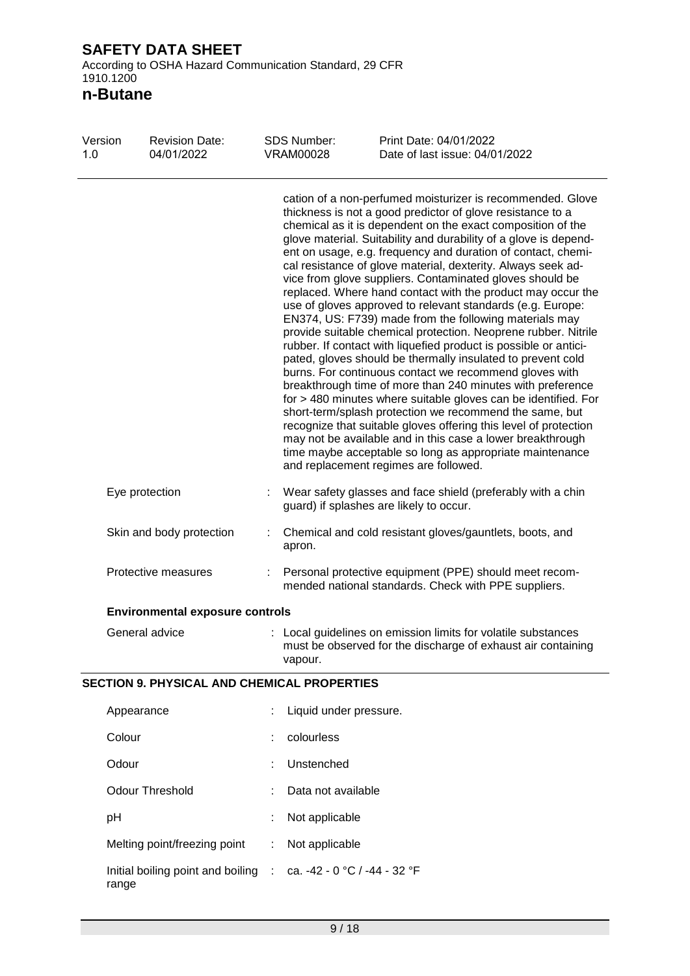1910.1200 **n-Butane**

| Version<br>1.0      | <b>Revision Date:</b><br>04/01/2022                | <b>SDS Number:</b><br><b>VRAM00028</b>                                                                         | Print Date: 04/01/2022<br>Date of last issue: 04/01/2022                                                                                                                                                                                                                                                                                                                                                                                                                                                                                                                                                                                                                                                                                                                                                                                                                                                                                                                                                                                                                                                                                                                                                                                                                                                                                        |
|---------------------|----------------------------------------------------|----------------------------------------------------------------------------------------------------------------|-------------------------------------------------------------------------------------------------------------------------------------------------------------------------------------------------------------------------------------------------------------------------------------------------------------------------------------------------------------------------------------------------------------------------------------------------------------------------------------------------------------------------------------------------------------------------------------------------------------------------------------------------------------------------------------------------------------------------------------------------------------------------------------------------------------------------------------------------------------------------------------------------------------------------------------------------------------------------------------------------------------------------------------------------------------------------------------------------------------------------------------------------------------------------------------------------------------------------------------------------------------------------------------------------------------------------------------------------|
|                     |                                                    |                                                                                                                | cation of a non-perfumed moisturizer is recommended. Glove<br>thickness is not a good predictor of glove resistance to a<br>chemical as it is dependent on the exact composition of the<br>glove material. Suitability and durability of a glove is depend-<br>ent on usage, e.g. frequency and duration of contact, chemi-<br>cal resistance of glove material, dexterity. Always seek ad-<br>vice from glove suppliers. Contaminated gloves should be<br>replaced. Where hand contact with the product may occur the<br>use of gloves approved to relevant standards (e.g. Europe:<br>EN374, US: F739) made from the following materials may<br>provide suitable chemical protection. Neoprene rubber. Nitrile<br>rubber. If contact with liquefied product is possible or antici-<br>pated, gloves should be thermally insulated to prevent cold<br>burns. For continuous contact we recommend gloves with<br>breakthrough time of more than 240 minutes with preference<br>for > 480 minutes where suitable gloves can be identified. For<br>short-term/splash protection we recommend the same, but<br>recognize that suitable gloves offering this level of protection<br>may not be available and in this case a lower breakthrough<br>time maybe acceptable so long as appropriate maintenance<br>and replacement regimes are followed. |
|                     | Eye protection                                     |                                                                                                                | Wear safety glasses and face shield (preferably with a chin<br>guard) if splashes are likely to occur.                                                                                                                                                                                                                                                                                                                                                                                                                                                                                                                                                                                                                                                                                                                                                                                                                                                                                                                                                                                                                                                                                                                                                                                                                                          |
|                     | Skin and body protection                           | apron.                                                                                                         | Chemical and cold resistant gloves/gauntlets, boots, and                                                                                                                                                                                                                                                                                                                                                                                                                                                                                                                                                                                                                                                                                                                                                                                                                                                                                                                                                                                                                                                                                                                                                                                                                                                                                        |
| Protective measures |                                                    | Personal protective equipment (PPE) should meet recom-<br>mended national standards. Check with PPE suppliers. |                                                                                                                                                                                                                                                                                                                                                                                                                                                                                                                                                                                                                                                                                                                                                                                                                                                                                                                                                                                                                                                                                                                                                                                                                                                                                                                                                 |
|                     | <b>Environmental exposure controls</b>             |                                                                                                                |                                                                                                                                                                                                                                                                                                                                                                                                                                                                                                                                                                                                                                                                                                                                                                                                                                                                                                                                                                                                                                                                                                                                                                                                                                                                                                                                                 |
|                     | General advice                                     | vapour.                                                                                                        | : Local guidelines on emission limits for volatile substances<br>must be observed for the discharge of exhaust air containing                                                                                                                                                                                                                                                                                                                                                                                                                                                                                                                                                                                                                                                                                                                                                                                                                                                                                                                                                                                                                                                                                                                                                                                                                   |
|                     | <b>SECTION 9. PHYSICAL AND CHEMICAL PROPERTIES</b> |                                                                                                                |                                                                                                                                                                                                                                                                                                                                                                                                                                                                                                                                                                                                                                                                                                                                                                                                                                                                                                                                                                                                                                                                                                                                                                                                                                                                                                                                                 |
|                     | Appearance                                         | Liquid under pressure.                                                                                         |                                                                                                                                                                                                                                                                                                                                                                                                                                                                                                                                                                                                                                                                                                                                                                                                                                                                                                                                                                                                                                                                                                                                                                                                                                                                                                                                                 |
|                     | Colour                                             | colourless                                                                                                     |                                                                                                                                                                                                                                                                                                                                                                                                                                                                                                                                                                                                                                                                                                                                                                                                                                                                                                                                                                                                                                                                                                                                                                                                                                                                                                                                                 |
|                     | Odour                                              | Unstenched                                                                                                     |                                                                                                                                                                                                                                                                                                                                                                                                                                                                                                                                                                                                                                                                                                                                                                                                                                                                                                                                                                                                                                                                                                                                                                                                                                                                                                                                                 |
|                     | <b>Odour Threshold</b>                             | Data not available                                                                                             |                                                                                                                                                                                                                                                                                                                                                                                                                                                                                                                                                                                                                                                                                                                                                                                                                                                                                                                                                                                                                                                                                                                                                                                                                                                                                                                                                 |
|                     | pH                                                 | Not applicable                                                                                                 |                                                                                                                                                                                                                                                                                                                                                                                                                                                                                                                                                                                                                                                                                                                                                                                                                                                                                                                                                                                                                                                                                                                                                                                                                                                                                                                                                 |
|                     | Melting point/freezing point                       | Not applicable                                                                                                 |                                                                                                                                                                                                                                                                                                                                                                                                                                                                                                                                                                                                                                                                                                                                                                                                                                                                                                                                                                                                                                                                                                                                                                                                                                                                                                                                                 |
|                     | Initial boiling point and boiling :<br>range       | ca. -42 - 0 °C / -44 - 32 °F                                                                                   |                                                                                                                                                                                                                                                                                                                                                                                                                                                                                                                                                                                                                                                                                                                                                                                                                                                                                                                                                                                                                                                                                                                                                                                                                                                                                                                                                 |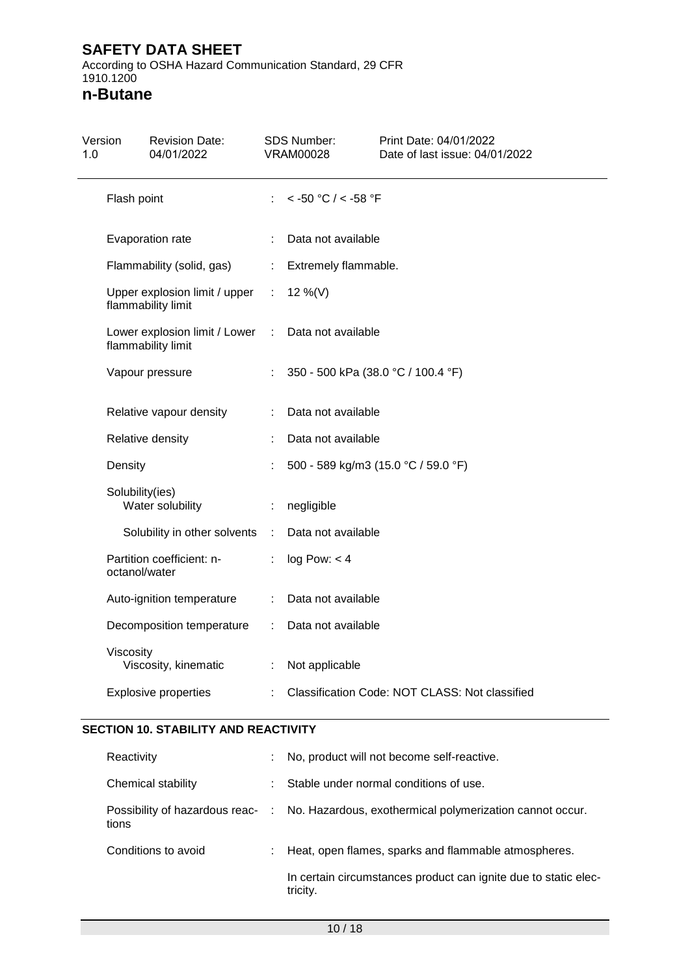According to OSHA Hazard Communication Standard, 29 CFR 1910.1200

**n-Butane**

| Version<br>1.0 | <b>Revision Date:</b><br>04/01/2022                 |                             | <b>SDS Number:</b><br><b>VRAM00028</b> | Print Date: 04/01/2022<br>Date of last issue: 04/01/2022 |  |  |
|----------------|-----------------------------------------------------|-----------------------------|----------------------------------------|----------------------------------------------------------|--|--|
| Flash point    |                                                     | t.                          | $<$ -50 °C / $<$ -58 °F                |                                                          |  |  |
|                | Evaporation rate                                    | ÷                           |                                        | Data not available                                       |  |  |
|                | Flammability (solid, gas)                           | $\mathcal{L}^{\mathcal{L}}$ | Extremely flammable.                   |                                                          |  |  |
|                | Upper explosion limit / upper<br>flammability limit | $\mathbb{R}^n$              | 12 %(V)                                |                                                          |  |  |
|                | Lower explosion limit / Lower<br>flammability limit | ÷                           | Data not available                     |                                                          |  |  |
|                | Vapour pressure                                     |                             |                                        | 350 - 500 kPa (38.0 °C / 100.4 °F)                       |  |  |
|                | Relative vapour density                             | ÷                           | Data not available                     |                                                          |  |  |
|                | Relative density                                    |                             | Data not available                     |                                                          |  |  |
| Density        |                                                     |                             |                                        | 500 - 589 kg/m3 (15.0 °C / 59.0 °F)                      |  |  |
|                | Solubility(ies)<br>Water solubility                 | ÷                           | negligible                             |                                                          |  |  |
|                | Solubility in other solvents                        | $\sim$ 10                   | Data not available                     |                                                          |  |  |
|                | Partition coefficient: n-<br>octanol/water          | ÷                           | log Pow: < 4                           |                                                          |  |  |
|                | Auto-ignition temperature                           | $\mathbb{R}^{\mathbb{Z}}$   | Data not available                     |                                                          |  |  |
|                | Decomposition temperature                           |                             | Data not available                     |                                                          |  |  |
| Viscosity      | Viscosity, kinematic                                | ÷.                          | Not applicable                         |                                                          |  |  |
|                | <b>Explosive properties</b>                         |                             |                                        | Classification Code: NOT CLASS: Not classified           |  |  |

#### **SECTION 10. STABILITY AND REACTIVITY**

| Reactivity          | t. | No, product will not become self-reactive.                                                |
|---------------------|----|-------------------------------------------------------------------------------------------|
| Chemical stability  |    | Stable under normal conditions of use.                                                    |
| tions               |    | Possibility of hazardous reac- : No. Hazardous, exothermical polymerization cannot occur. |
| Conditions to avoid |    | : Heat, open flames, sparks and flammable atmospheres.                                    |
|                     |    | In certain circumstances product can ignite due to static elec-<br>tricity.               |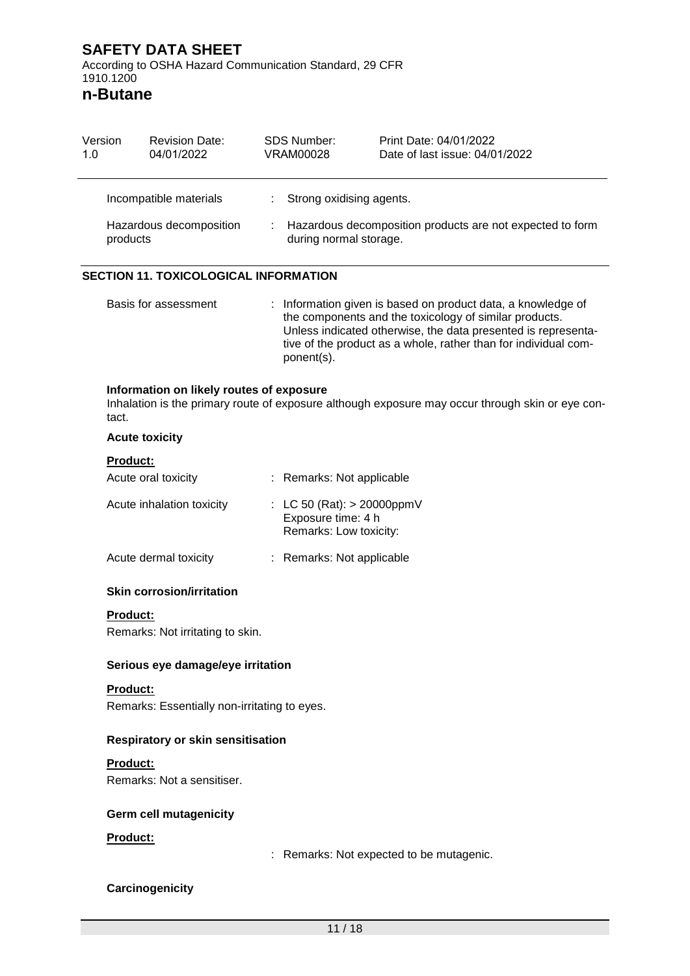1910.1200 **n-Butane**

| Version<br>1.0 |                 | <b>Revision Date:</b><br>04/01/2022          |    | <b>SDS Number:</b><br><b>VRAM00028</b>                                        | Print Date: 04/01/2022<br>Date of last issue: 04/01/2022                                                                                                                                                                                                   |
|----------------|-----------------|----------------------------------------------|----|-------------------------------------------------------------------------------|------------------------------------------------------------------------------------------------------------------------------------------------------------------------------------------------------------------------------------------------------------|
|                |                 | Incompatible materials                       | ÷. | Strong oxidising agents.                                                      |                                                                                                                                                                                                                                                            |
|                | products        | Hazardous decomposition                      |    | during normal storage.                                                        | Hazardous decomposition products are not expected to form                                                                                                                                                                                                  |
|                |                 | <b>SECTION 11. TOXICOLOGICAL INFORMATION</b> |    |                                                                               |                                                                                                                                                                                                                                                            |
|                |                 | Basis for assessment                         |    | ponent(s).                                                                    | : Information given is based on product data, a knowledge of<br>the components and the toxicology of similar products.<br>Unless indicated otherwise, the data presented is representa-<br>tive of the product as a whole, rather than for individual com- |
|                | tact.           | Information on likely routes of exposure     |    |                                                                               | Inhalation is the primary route of exposure although exposure may occur through skin or eye con-                                                                                                                                                           |
|                |                 | <b>Acute toxicity</b>                        |    |                                                                               |                                                                                                                                                                                                                                                            |
|                | <b>Product:</b> |                                              |    |                                                                               |                                                                                                                                                                                                                                                            |
|                |                 | Acute oral toxicity                          |    | : Remarks: Not applicable                                                     |                                                                                                                                                                                                                                                            |
|                |                 | Acute inhalation toxicity                    |    | : LC 50 (Rat): $> 20000$ ppmV<br>Exposure time: 4 h<br>Remarks: Low toxicity: |                                                                                                                                                                                                                                                            |
|                |                 | Acute dermal toxicity                        |    | Remarks: Not applicable                                                       |                                                                                                                                                                                                                                                            |
|                |                 | <b>Skin corrosion/irritation</b>             |    |                                                                               |                                                                                                                                                                                                                                                            |
|                | <b>Product:</b> |                                              |    |                                                                               |                                                                                                                                                                                                                                                            |
|                |                 | Remarks: Not irritating to skin.             |    |                                                                               |                                                                                                                                                                                                                                                            |
|                |                 | Serious eye damage/eye irritation            |    |                                                                               |                                                                                                                                                                                                                                                            |
|                | Product:        | Remarks: Essentially non-irritating to eyes. |    |                                                                               |                                                                                                                                                                                                                                                            |
|                |                 | Respiratory or skin sensitisation            |    |                                                                               |                                                                                                                                                                                                                                                            |
|                | <b>Product:</b> | Remarks: Not a sensitiser.                   |    |                                                                               |                                                                                                                                                                                                                                                            |
|                |                 | <b>Germ cell mutagenicity</b>                |    |                                                                               |                                                                                                                                                                                                                                                            |
|                | Product:        |                                              |    |                                                                               |                                                                                                                                                                                                                                                            |
|                |                 |                                              |    |                                                                               | Remarks: Not expected to be mutagenic.                                                                                                                                                                                                                     |
|                |                 | Carcinogenicity                              |    |                                                                               |                                                                                                                                                                                                                                                            |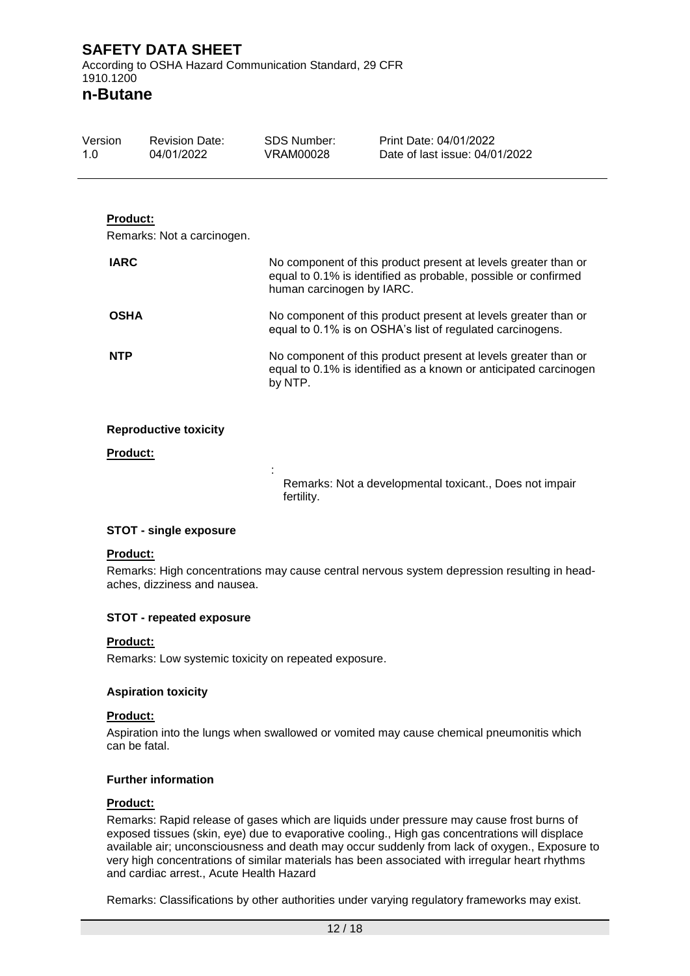### **n-Butane**

| Version<br>1.0  | <b>Revision Date:</b><br>04/01/2022 | SDS Number:<br>VRAM00028                                                                                                                      | Print Date: 04/01/2022<br>Date of last issue: 04/01/2022                                                                         |  |
|-----------------|-------------------------------------|-----------------------------------------------------------------------------------------------------------------------------------------------|----------------------------------------------------------------------------------------------------------------------------------|--|
| <b>Product:</b> | Remarks: Not a carcinogen.          |                                                                                                                                               |                                                                                                                                  |  |
| <b>IARC</b>     |                                     | human carcinogen by IARC.                                                                                                                     | No component of this product present at levels greater than or<br>equal to 0.1% is identified as probable, possible or confirmed |  |
| <b>OSHA</b>     |                                     | No component of this product present at levels greater than or<br>equal to 0.1% is on OSHA's list of regulated carcinogens.                   |                                                                                                                                  |  |
| <b>NTP</b>      |                                     | No component of this product present at levels greater than or<br>equal to 0.1% is identified as a known or anticipated carcinogen<br>by NTP. |                                                                                                                                  |  |
|                 | <b>Reproductive toxicity</b>        |                                                                                                                                               |                                                                                                                                  |  |

**Product:**

Remarks: Not a developmental toxicant., Does not impair fertility.

#### **STOT - single exposure**

#### **Product:**

Remarks: High concentrations may cause central nervous system depression resulting in headaches, dizziness and nausea.

#### **STOT - repeated exposure**

#### **Product:**

Remarks: Low systemic toxicity on repeated exposure.

:

#### **Aspiration toxicity**

#### **Product:**

Aspiration into the lungs when swallowed or vomited may cause chemical pneumonitis which can be fatal.

#### **Further information**

#### **Product:**

Remarks: Rapid release of gases which are liquids under pressure may cause frost burns of exposed tissues (skin, eye) due to evaporative cooling., High gas concentrations will displace available air; unconsciousness and death may occur suddenly from lack of oxygen., Exposure to very high concentrations of similar materials has been associated with irregular heart rhythms and cardiac arrest., Acute Health Hazard

Remarks: Classifications by other authorities under varying regulatory frameworks may exist.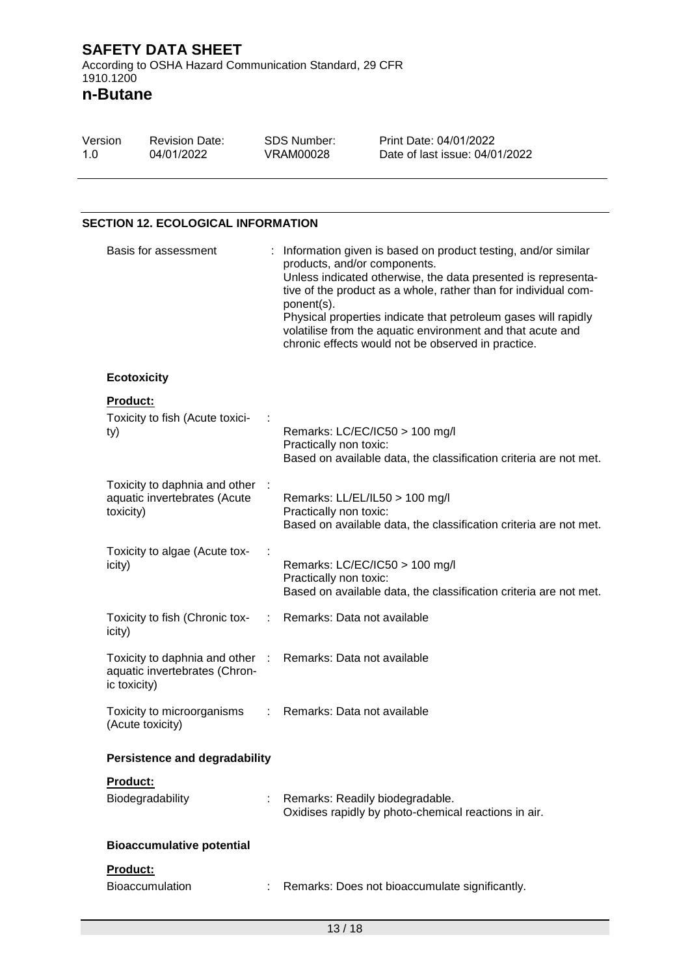**n-Butane**

| Version | <b>Revision Date:</b> | SDS Number: | Print Date: 04/01/2022         |
|---------|-----------------------|-------------|--------------------------------|
| 1.0     | 04/01/2022            | VRAM00028   | Date of last issue: 04/01/2022 |

#### **SECTION 12. ECOLOGICAL INFORMATION**

| Basis for assessment                                                                                         |    | Information given is based on product testing, and/or similar<br>products, and/or components.<br>Unless indicated otherwise, the data presented is representa-<br>tive of the product as a whole, rather than for individual com-<br>ponent(s).<br>Physical properties indicate that petroleum gases will rapidly<br>volatilise from the aquatic environment and that acute and<br>chronic effects would not be observed in practice. |  |
|--------------------------------------------------------------------------------------------------------------|----|---------------------------------------------------------------------------------------------------------------------------------------------------------------------------------------------------------------------------------------------------------------------------------------------------------------------------------------------------------------------------------------------------------------------------------------|--|
| <b>Ecotoxicity</b>                                                                                           |    |                                                                                                                                                                                                                                                                                                                                                                                                                                       |  |
| Product:<br>Toxicity to fish (Acute toxici-<br>ty)                                                           |    | Remarks: LC/EC/IC50 > 100 mg/l<br>Practically non toxic:<br>Based on available data, the classification criteria are not met.                                                                                                                                                                                                                                                                                                         |  |
| Toxicity to daphnia and other<br>aquatic invertebrates (Acute<br>toxicity)                                   |    | Remarks: LL/EL/IL50 > 100 mg/l<br>Practically non toxic:<br>Based on available data, the classification criteria are not met.                                                                                                                                                                                                                                                                                                         |  |
| Toxicity to algae (Acute tox-<br>icity)                                                                      |    | Remarks: LC/EC/IC50 > 100 mg/l<br>Practically non toxic:<br>Based on available data, the classification criteria are not met.                                                                                                                                                                                                                                                                                                         |  |
| Toxicity to fish (Chronic tox-<br>icity)                                                                     | ÷. | Remarks: Data not available                                                                                                                                                                                                                                                                                                                                                                                                           |  |
| Toxicity to daphnia and other : Remarks: Data not available<br>aquatic invertebrates (Chron-<br>ic toxicity) |    |                                                                                                                                                                                                                                                                                                                                                                                                                                       |  |
| Toxicity to microorganisms<br>(Acute toxicity)                                                               | ÷. | Remarks: Data not available                                                                                                                                                                                                                                                                                                                                                                                                           |  |
| <b>Persistence and degradability</b>                                                                         |    |                                                                                                                                                                                                                                                                                                                                                                                                                                       |  |
| <b>Product:</b><br>Biodegradability                                                                          |    | Remarks: Readily biodegradable.<br>Oxidises rapidly by photo-chemical reactions in air.                                                                                                                                                                                                                                                                                                                                               |  |
| <b>Bioaccumulative potential</b>                                                                             |    |                                                                                                                                                                                                                                                                                                                                                                                                                                       |  |
| Product:<br><b>Bioaccumulation</b>                                                                           |    | Remarks: Does not bioaccumulate significantly.                                                                                                                                                                                                                                                                                                                                                                                        |  |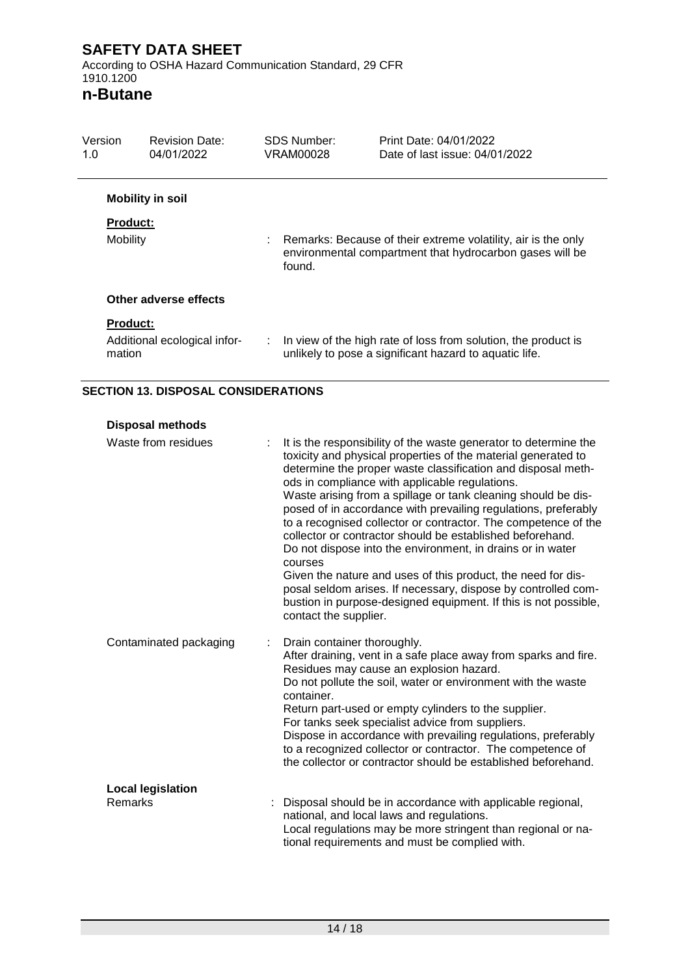According to OSHA Hazard Communication Standard, 29 CFR 1910.1200

### **n-Butane**

| Version<br>1.0  | <b>Revision Date:</b><br>04/01/2022 |   | SDS Number:<br>VRAM00028 | Print Date: 04/01/2022<br>Date of last issue: 04/01/2022                                                                  |
|-----------------|-------------------------------------|---|--------------------------|---------------------------------------------------------------------------------------------------------------------------|
|                 | <b>Mobility in soil</b>             |   |                          |                                                                                                                           |
| <b>Product:</b> |                                     |   |                          |                                                                                                                           |
| Mobility        |                                     |   | found.                   | Remarks: Because of their extreme volatility, air is the only<br>environmental compartment that hydrocarbon gases will be |
|                 | Other adverse effects               |   |                          |                                                                                                                           |
| <b>Product:</b> |                                     |   |                          |                                                                                                                           |
| mation          | Additional ecological infor-        | ÷ |                          | In view of the high rate of loss from solution, the product is<br>unlikely to pose a significant hazard to aquatic life.  |

#### **SECTION 13. DISPOSAL CONSIDERATIONS**

| <b>Disposal methods</b> |  |
|-------------------------|--|
|                         |  |

| Waste from residues                 | It is the responsibility of the waste generator to determine the<br>toxicity and physical properties of the material generated to<br>determine the proper waste classification and disposal meth-<br>ods in compliance with applicable regulations.<br>Waste arising from a spillage or tank cleaning should be dis-<br>posed of in accordance with prevailing regulations, preferably<br>to a recognised collector or contractor. The competence of the<br>collector or contractor should be established beforehand.<br>Do not dispose into the environment, in drains or in water<br>courses<br>Given the nature and uses of this product, the need for dis-<br>posal seldom arises. If necessary, dispose by controlled com-<br>bustion in purpose-designed equipment. If this is not possible,<br>contact the supplier. |
|-------------------------------------|-----------------------------------------------------------------------------------------------------------------------------------------------------------------------------------------------------------------------------------------------------------------------------------------------------------------------------------------------------------------------------------------------------------------------------------------------------------------------------------------------------------------------------------------------------------------------------------------------------------------------------------------------------------------------------------------------------------------------------------------------------------------------------------------------------------------------------|
| Contaminated packaging              | Drain container thoroughly.<br>After draining, vent in a safe place away from sparks and fire.<br>Residues may cause an explosion hazard.<br>Do not pollute the soil, water or environment with the waste<br>container.<br>Return part-used or empty cylinders to the supplier.<br>For tanks seek specialist advice from suppliers.<br>Dispose in accordance with prevailing regulations, preferably<br>to a recognized collector or contractor. The competence of<br>the collector or contractor should be established beforehand.                                                                                                                                                                                                                                                                                         |
| <b>Local legislation</b><br>Remarks | Disposal should be in accordance with applicable regional,<br>national, and local laws and regulations.<br>Local regulations may be more stringent than regional or na-<br>tional requirements and must be complied with.                                                                                                                                                                                                                                                                                                                                                                                                                                                                                                                                                                                                   |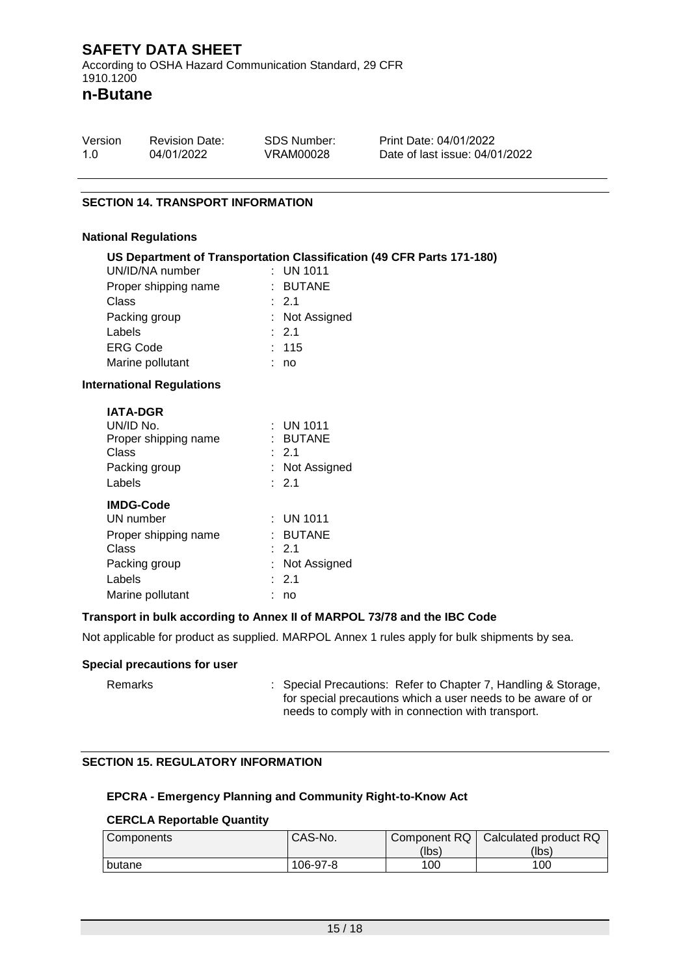**n-Butane**

| Version | <b>Revision Date:</b> | SDS Number: | Print Date: 04/01/2022         |
|---------|-----------------------|-------------|--------------------------------|
| 1.0     | 04/01/2022            | VRAM00028   | Date of last issue: 04/01/2022 |

#### **SECTION 14. TRANSPORT INFORMATION**

#### **National Regulations**

|                                  | US Department of Transportation Classification (49 CFR Parts 171-180) |
|----------------------------------|-----------------------------------------------------------------------|
| UN/ID/NA number                  | $\therefore$ UN 1011                                                  |
| Proper shipping name             | : BUTANE                                                              |
| <b>Class</b>                     | : 2.1                                                                 |
| Packing group                    | : Not Assigned                                                        |
| Labels                           | $\therefore$ 2.1                                                      |
| <b>ERG Code</b>                  | : 115                                                                 |
| Marine pollutant                 | : no                                                                  |
| <b>International Regulations</b> |                                                                       |
| <b>IATA-DGR</b>                  |                                                                       |
| UN/ID No.                        | $\therefore$ UN 1011                                                  |
| Proper shipping name             | : BUTANE                                                              |
| <b>Class</b>                     | $\therefore$ 2.1                                                      |
| Packing group                    | : Not Assigned                                                        |
| Labels                           | $\therefore$ 2.1                                                      |
| <b>IMDG-Code</b>                 |                                                                       |
| UN number                        | : UN 1011                                                             |
| Proper shipping name             | : BUTANE                                                              |
| <b>Class</b>                     | $\div$ 2.1                                                            |
| Packing group                    | : Not Assigned                                                        |
| Labels                           | :2.1                                                                  |

#### **Transport in bulk according to Annex II of MARPOL 73/78 and the IBC Code**

Not applicable for product as supplied. MARPOL Annex 1 rules apply for bulk shipments by sea.

#### **Special precautions for user**

Remarks : Special Precautions: Refer to Chapter 7, Handling & Storage, for special precautions which a user needs to be aware of or needs to comply with in connection with transport.

#### **SECTION 15. REGULATORY INFORMATION**

Marine pollutant : no

#### **EPCRA - Emergency Planning and Community Right-to-Know Act**

#### **CERCLA Reportable Quantity**

| <b>Components</b> | CAS-No.  | Component RQ | Calculated product RQ |
|-------------------|----------|--------------|-----------------------|
|                   |          | (lbs)        | (lbs)                 |
| butane            | 106-97-8 | 100          | 100                   |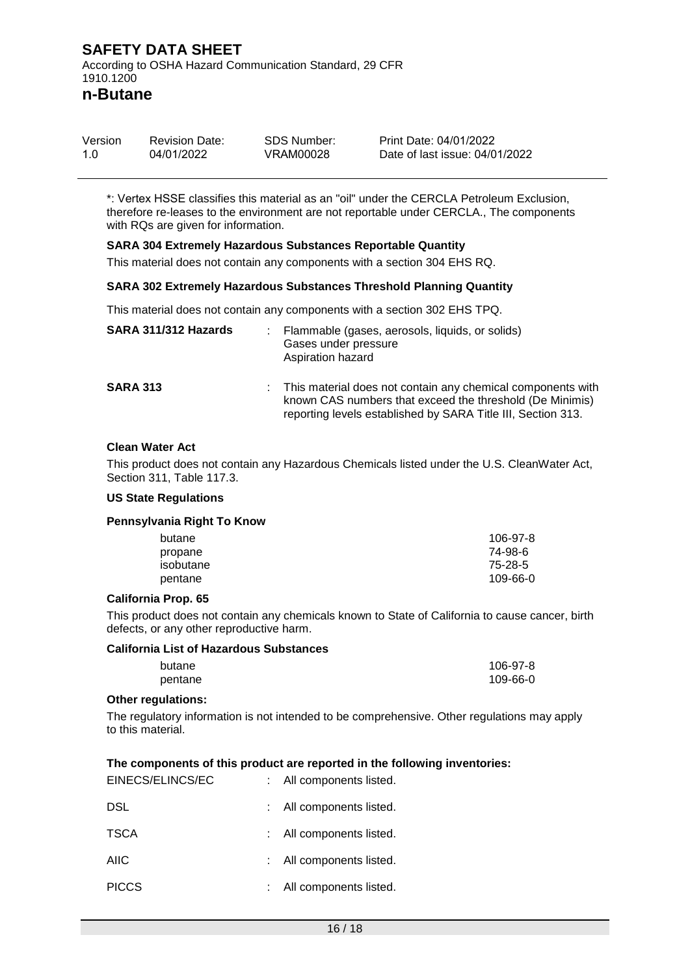**n-Butane**

| Version | <b>Revision Date:</b> | SDS Number: | Print Date: 04/01/2022         |
|---------|-----------------------|-------------|--------------------------------|
| 1.0     | 04/01/2022            | VRAM00028   | Date of last issue: 04/01/2022 |

\*: Vertex HSSE classifies this material as an "oil" under the CERCLA Petroleum Exclusion, therefore re-leases to the environment are not reportable under CERCLA., The components with RQs are given for information.

#### **SARA 304 Extremely Hazardous Substances Reportable Quantity**

This material does not contain any components with a section 304 EHS RQ.

#### **SARA 302 Extremely Hazardous Substances Threshold Planning Quantity**

This material does not contain any components with a section 302 EHS TPQ.

| SARA 311/312 Hazards | Flammable (gases, aerosols, liquids, or solids)<br>Gases under pressure<br>Aspiration hazard                                                                                            |
|----------------------|-----------------------------------------------------------------------------------------------------------------------------------------------------------------------------------------|
| <b>SARA 313</b>      | This material does not contain any chemical components with<br>known CAS numbers that exceed the threshold (De Minimis)<br>reporting levels established by SARA Title III, Section 313. |

#### **Clean Water Act**

This product does not contain any Hazardous Chemicals listed under the U.S. CleanWater Act, Section 311, Table 117.3.

#### **US State Regulations**

#### **Pennsylvania Right To Know**

| butane    | 106-97-8 |
|-----------|----------|
| propane   | 74-98-6  |
| isobutane | 75-28-5  |
| pentane   | 109-66-0 |

#### **California Prop. 65**

This product does not contain any chemicals known to State of California to cause cancer, birth defects, or any other reproductive harm.

#### **California List of Hazardous Substances**

| butane  | 106-97-8 |
|---------|----------|
| pentane | 109-66-0 |

#### **Other regulations:**

The regulatory information is not intended to be comprehensive. Other regulations may apply to this material.

#### **The components of this product are reported in the following inventories:**

| EINECS/ELINCS/EC | : All components listed. |
|------------------|--------------------------|
| <b>DSL</b>       | All components listed.   |
| <b>TSCA</b>      | All components listed.   |
| <b>AIIC</b>      | All components listed.   |
| <b>PICCS</b>     | All components listed.   |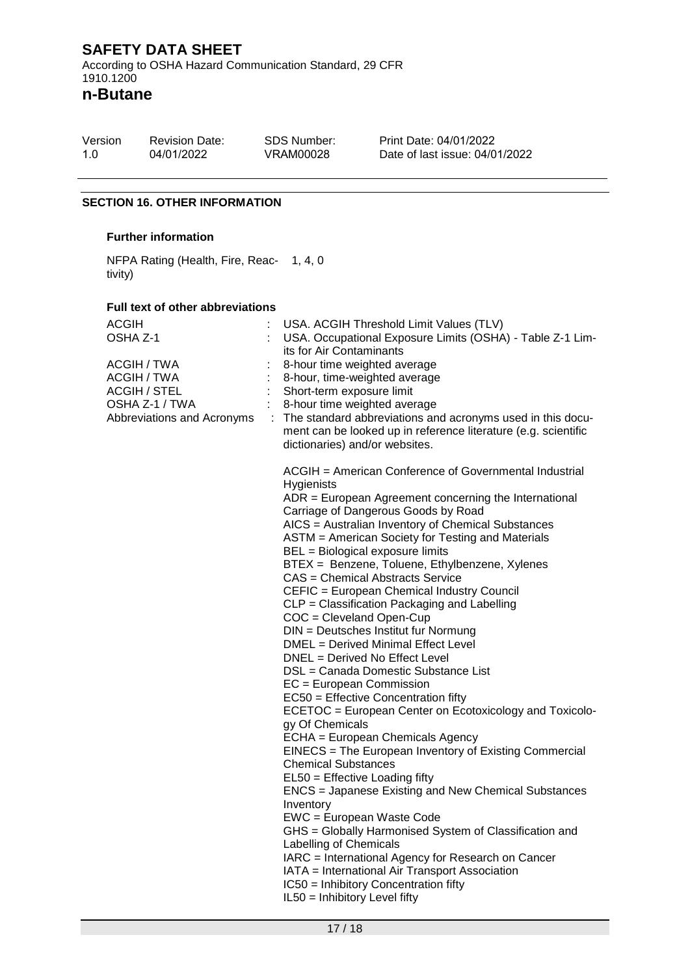According to OSHA Hazard Communication Standard, 29 CFR 1910.1200

**n-Butane**

| Version | <b>Revision Date:</b> | SDS Number: |
|---------|-----------------------|-------------|
| 1.0     | 04/01/2022            | VRAM00028   |

Print Date: 04/01/2022 Date of last issue: 04/01/2022

#### **SECTION 16. OTHER INFORMATION**

#### **Further information**

NFPA Rating (Health, Fire, Reac-1, 4, 0 tivity)

#### **Full text of other abbreviations**

| <b>ACGIH</b><br>OSHA Z-1                                                                          |  | USA. ACGIH Threshold Limit Values (TLV)<br>USA. Occupational Exposure Limits (OSHA) - Table Z-1 Lim-<br>its for Air Contaminants                                                                                                                                                                                                                                                                                                                                                                                                                                                                                                                                                                                                                                                                                                                                                                                                                                                                                                                                                                                                                                                                                                                                                                                                                                                                     |
|---------------------------------------------------------------------------------------------------|--|------------------------------------------------------------------------------------------------------------------------------------------------------------------------------------------------------------------------------------------------------------------------------------------------------------------------------------------------------------------------------------------------------------------------------------------------------------------------------------------------------------------------------------------------------------------------------------------------------------------------------------------------------------------------------------------------------------------------------------------------------------------------------------------------------------------------------------------------------------------------------------------------------------------------------------------------------------------------------------------------------------------------------------------------------------------------------------------------------------------------------------------------------------------------------------------------------------------------------------------------------------------------------------------------------------------------------------------------------------------------------------------------------|
| ACGIH / TWA<br>ACGIH / TWA<br><b>ACGIH / STEL</b><br>OSHA Z-1 / TWA<br>Abbreviations and Acronyms |  | 8-hour time weighted average<br>8-hour, time-weighted average<br>Short-term exposure limit<br>8-hour time weighted average<br>The standard abbreviations and acronyms used in this docu-<br>ment can be looked up in reference literature (e.g. scientific<br>dictionaries) and/or websites.                                                                                                                                                                                                                                                                                                                                                                                                                                                                                                                                                                                                                                                                                                                                                                                                                                                                                                                                                                                                                                                                                                         |
|                                                                                                   |  | ACGIH = American Conference of Governmental Industrial<br>Hygienists<br>ADR = European Agreement concerning the International<br>Carriage of Dangerous Goods by Road<br>AICS = Australian Inventory of Chemical Substances<br>ASTM = American Society for Testing and Materials<br>BEL = Biological exposure limits<br>BTEX = Benzene, Toluene, Ethylbenzene, Xylenes<br><b>CAS = Chemical Abstracts Service</b><br>CEFIC = European Chemical Industry Council<br>CLP = Classification Packaging and Labelling<br>COC = Cleveland Open-Cup<br>DIN = Deutsches Institut fur Normung<br>DMEL = Derived Minimal Effect Level<br>DNEL = Derived No Effect Level<br>DSL = Canada Domestic Substance List<br>$EC = European Commission$<br>EC50 = Effective Concentration fifty<br>ECETOC = European Center on Ecotoxicology and Toxicolo-<br>gy Of Chemicals<br>ECHA = European Chemicals Agency<br>EINECS = The European Inventory of Existing Commercial<br><b>Chemical Substances</b><br>EL50 = Effective Loading fifty<br><b>ENCS</b> = Japanese Existing and New Chemical Substances<br>Inventory<br>EWC = European Waste Code<br>GHS = Globally Harmonised System of Classification and<br>Labelling of Chemicals<br>IARC = International Agency for Research on Cancer<br>IATA = International Air Transport Association<br>IC50 = Inhibitory Concentration fifty<br>IL50 = Inhibitory Level fifty |